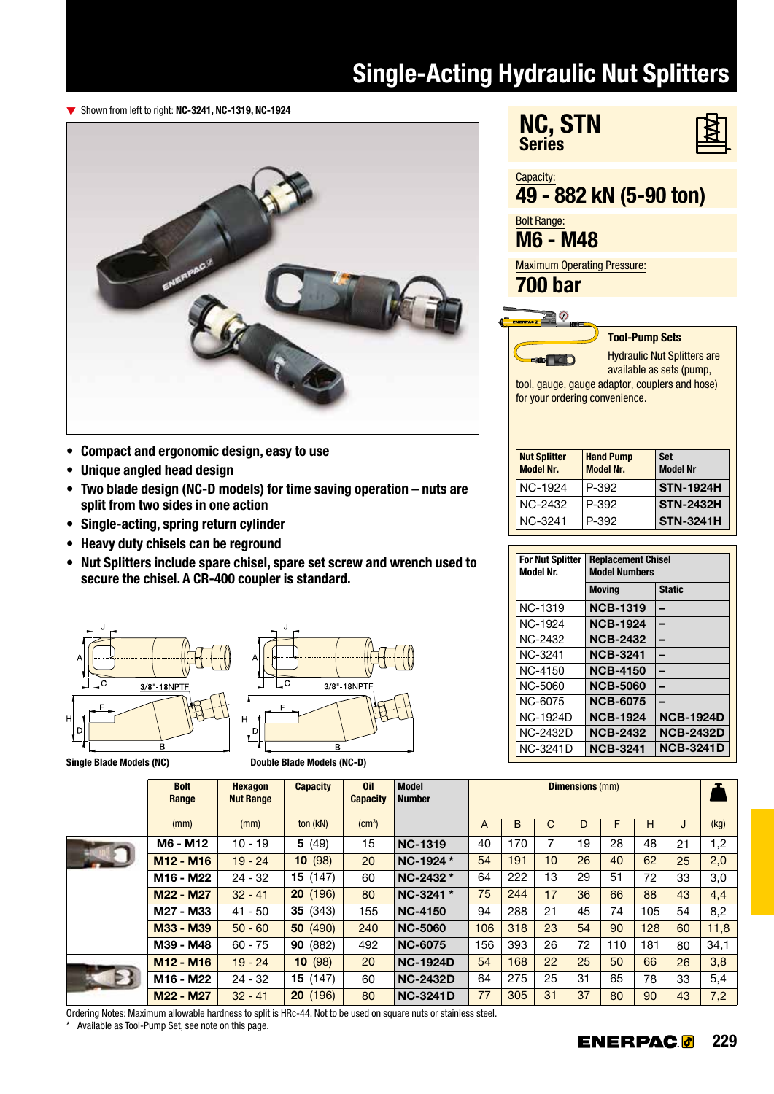## Single-Acting Hydraulic Nut Splitters

**Series** 

NC, STN

▼ Shown from left to right: NC-3241, NC-1319, NC-1924



- Compact and ergonomic design, easy to use
- Unique angled head design
- Two blade design (NC-D models) for time saving operation nuts are split from two sides in one action
- Single-acting, spring return cylinder
- Heavy duty chisels can be reground
- Nut Splitters include spare chisel, spare set screw and wrench used to secure the chisel. A CR-400 coupler is standard.





3/8"-18NPTI

Capacity: 49 - 882 kN (5-90 ton) Bolt Range: M6 - M48 Maximum Operating Pressure: 700 bar ΞO Tool-Pump Sets Hydraulic Nut Splitters are  $\blacksquare$ available as sets (pump, tool, gauge, gauge adaptor, couplers and hose) for your ordering convenience. **Nut Splitter** Hand Pump **Set** Model Nr. Model Nr. Model Nr NC-1924 P-392 STN-1924H NC-2432 P-392 STN-2432H NC-3241 P-392 STN-3241H Replacement Chisel Model Numbers Moving Static NCB-1319 –

| <b>For Nut Splitter</b><br><b>Model Nr.</b> | <b>Replacement Chisel</b><br><b>Model Numbers</b> |                  |  |  |  |  |  |  |  |
|---------------------------------------------|---------------------------------------------------|------------------|--|--|--|--|--|--|--|
|                                             | <b>Moving</b>                                     | <b>Static</b>    |  |  |  |  |  |  |  |
| <b>NC-1319</b>                              | <b>NCB-1319</b>                                   |                  |  |  |  |  |  |  |  |
| NC-1924                                     | <b>NCB-1924</b>                                   |                  |  |  |  |  |  |  |  |
| <b>NC-2432</b>                              | <b>NCB-2432</b>                                   |                  |  |  |  |  |  |  |  |
| NC-3241                                     | <b>NCB-3241</b>                                   |                  |  |  |  |  |  |  |  |
| NC-4150                                     | <b>NCB-4150</b>                                   |                  |  |  |  |  |  |  |  |
| NC-5060                                     | <b>NCB-5060</b>                                   |                  |  |  |  |  |  |  |  |
| NC-6075                                     | <b>NCB-6075</b>                                   |                  |  |  |  |  |  |  |  |
| <b>NC-1924D</b>                             | <b>NCB-1924</b>                                   | <b>NCB-1924D</b> |  |  |  |  |  |  |  |
| NC-2432D                                    | <b>NCB-2432</b>                                   | <b>NCB-2432D</b> |  |  |  |  |  |  |  |
| NC-3241D                                    | <b>NCB-3241</b>                                   | <b>NCB-3241D</b> |  |  |  |  |  |  |  |

| <b>Bolt</b><br>Range              | <b>Hexagon</b><br><b>Nut Range</b> | <b>Capacity</b>         | <b>Oil</b><br><b>Capacity</b> | <b>Model</b><br><b>Number</b> | <b>Dimensions (mm)</b> |     |    |    |     |     |    |      |
|-----------------------------------|------------------------------------|-------------------------|-------------------------------|-------------------------------|------------------------|-----|----|----|-----|-----|----|------|
| (mm)                              | (mm)                               | ton (kN)                | $\rm (cm^3)$                  |                               | A                      | B   | C  | D  | F   | H   | J  | (kg) |
| M6 - M12                          | $10 - 19$                          | 5(49)                   | 15                            | <b>NC-1319</b>                | 40                     | 170 | 7  | 19 | 28  | 48  | 21 | 1,2  |
| M <sub>12</sub> - M <sub>16</sub> | $19 - 24$                          | (98)<br>10 <sup>°</sup> | 20                            | NC-1924 *                     | 54                     | 191 | 10 | 26 | 40  | 62  | 25 | 2,0  |
| M <sub>16</sub> - M <sub>22</sub> | $24 - 32$                          | <b>15</b> $(147)$       | 60                            | NC-2432 *                     | 64                     | 222 | 13 | 29 | 51  | 72  | 33 | 3,0  |
| M22 - M27                         | $32 - 41$                          | 20(196)                 | 80                            | NC-3241 *                     | 75                     | 244 | 17 | 36 | 66  | 88  | 43 | 4,4  |
| M27 - M33                         | $41 - 50$                          | 35(343)                 | 155                           | <b>NC-4150</b>                | 94                     | 288 | 21 | 45 | 74  | 105 | 54 | 8,2  |
| M33 - M39                         | $50 - 60$                          | 50 (490)                | 240                           | <b>NC-5060</b>                | 106                    | 318 | 23 | 54 | 90  | 128 | 60 | 11,8 |
| M39 - M48                         | $60 - 75$                          | 90 (882)                | 492                           | <b>NC-6075</b>                | 156                    | 393 | 26 | 72 | 110 | 181 | 80 | 34,1 |
| M <sub>12</sub> - M <sub>16</sub> | $19 - 24$                          | 10(98)                  | 20                            | <b>NC-1924D</b>               | 54                     | 168 | 22 | 25 | 50  | 66  | 26 | 3,8  |
| M16 - M22                         | $24 - 32$                          | 15(147)                 | 60                            | <b>NC-2432D</b>               | 64                     | 275 | 25 | 31 | 65  | 78  | 33 | 5,4  |
| M22 - M27                         | $32 - 41$                          | 20(196)                 | 80                            | <b>NC-3241D</b>               | 77                     | 305 | 31 | 37 | 80  | 90  | 43 | 7,2  |

Ordering Notes: Maximum allowable hardness to split is HRc-44 . Not to be used on square nuts or stainless steel .

Available as Tool-Pump Set, see note on this page.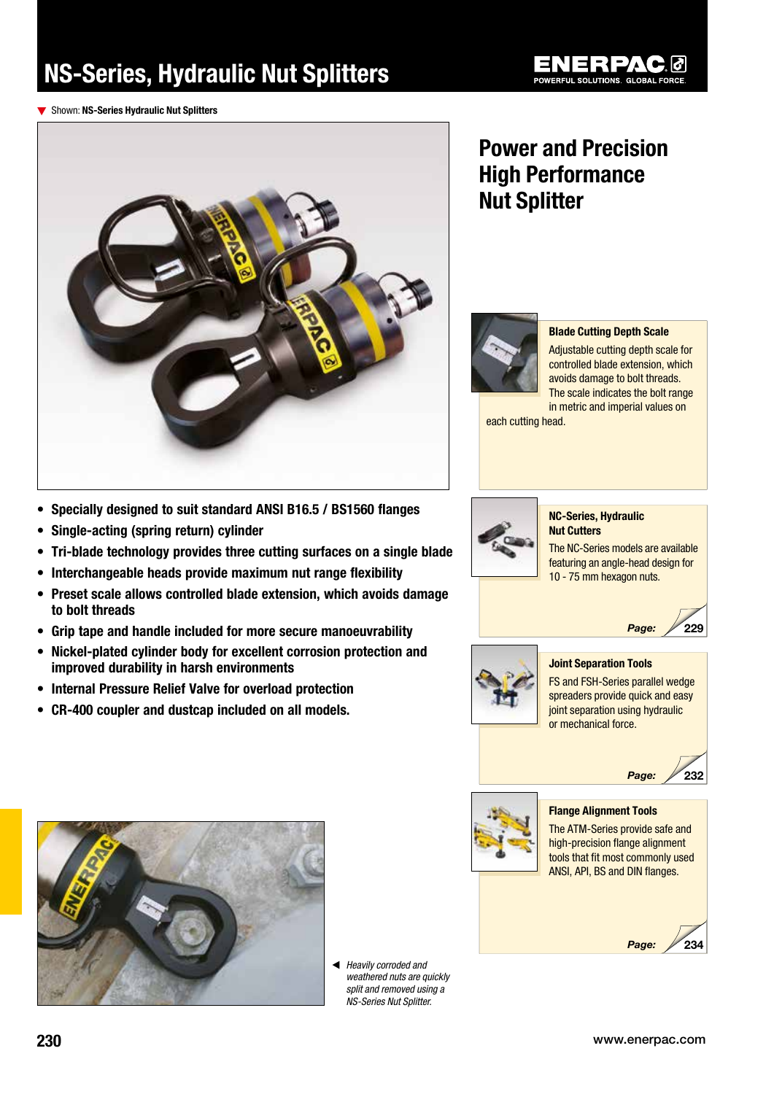# NS-Series, Hydraulic Nut Splitters



▼ Shown: NS-Series Hydraulic Nut Splitters



## Power and Precision High Performance Nut Splitter



#### Blade Cutting Depth Scale

Adjustable cutting depth scale for controlled blade extension, which avoids damage to bolt threads. The scale indicates the bolt range in metric and imperial values on

each cutting head.

- Specially designed to suit standard ANSI B16.5 / BS1560 flanges
- Single-acting (spring return) cylinder
- Tri-blade technology provides three cutting surfaces on a single blade
- Interchangeable heads provide maximum nut range flexibility
- Preset scale allows controlled blade extension, which avoids damage to bolt threads
- Grip tape and handle included for more secure manoeuvrability
- Nickel-plated cylinder body for excellent corrosion protection and improved durability in harsh environments
- Internal Pressure Relief Valve for overload protection
- CR-400 coupler and dustcap included on all models.



#### NC-Series, Hydraulic Nut Cutters

The NC-Series models are available featuring an angle-head design for 10 - 75 mm hexagon nuts.



232



#### Joint Separation Tools

FS and FSH-Series parallel wedge spreaders provide quick and easy joint separation using hydraulic or mechanical force.

Page:





◀ Heavily corroded and weathered nuts are quickly split and removed using a NS-Series Nut Splitter.